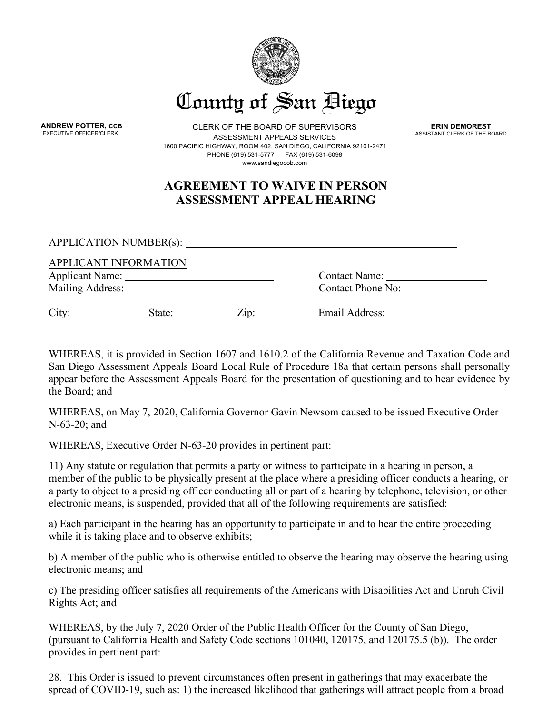

**ANDREW POTTER, CCB**<br>**EXECUTIVE OFFICER/CLERK** 

CLERK OF THE BOARD OF SUPERVISORS ASSESSMENT APPEALS SERVICES 1600 PACIFIC HIGHWAY, ROOM 402, SAN DIEGO, CALIFORNIA 92101-2471 PHONE (619) 531-5777 FAX (619) 531-6098 [www.sandiegocob.com](http://www.sandiegocob.com/)

**ERIN DEMOREST** ASSISTANT CLERK OF THE BOARD

## **AGREEMENT TO WAIVE IN PERSON ASSESSMENT APPEAL HEARING**

APPLICATION NUMBER(s):

|                                            | APPLICANT INFORMATION |               |                                           |  |
|--------------------------------------------|-----------------------|---------------|-------------------------------------------|--|
| <b>Applicant Name:</b><br>Mailing Address: |                       |               | <b>Contact Name:</b><br>Contact Phone No: |  |
|                                            |                       |               |                                           |  |
| City:                                      | State:                | $\angle 1D$ : | Email Address:                            |  |

WHEREAS, it is provided in Section 1607 and 1610.2 of the California Revenue and Taxation Code and San Diego Assessment Appeals Board Local Rule of Procedure 18a that certain persons shall personally appear before the Assessment Appeals Board for the presentation of questioning and to hear evidence by the Board; and

WHEREAS, on May 7, 2020, California Governor Gavin Newsom caused to be issued Executive Order N-63-20; and

WHEREAS, Executive Order N-63-20 provides in pertinent part:

11) Any statute or regulation that permits a party or witness to participate in a hearing in person, a member of the public to be physically present at the place where a presiding officer conducts a hearing, or a party to object to a presiding officer conducting all or part of a hearing by telephone, television, or other electronic means, is suspended, provided that all of the following requirements are satisfied:

a) Each participant in the hearing has an opportunity to participate in and to hear the entire proceeding while it is taking place and to observe exhibits;

b) A member of the public who is otherwise entitled to observe the hearing may observe the hearing using electronic means; and

c) The presiding officer satisfies all requirements of the Americans with Disabilities Act and Unruh Civil Rights Act; and

WHEREAS, by the July 7, 2020 Order of the Public Health Officer for the County of San Diego, (pursuant to California Health and Safety Code sections 101040, 120175, and 120175.5 (b)). The order provides in pertinent part:

28. This Order is issued to prevent circumstances often present in gatherings that may exacerbate the spread of COVID-19, such as: 1) the increased likelihood that gatherings will attract people from a broad